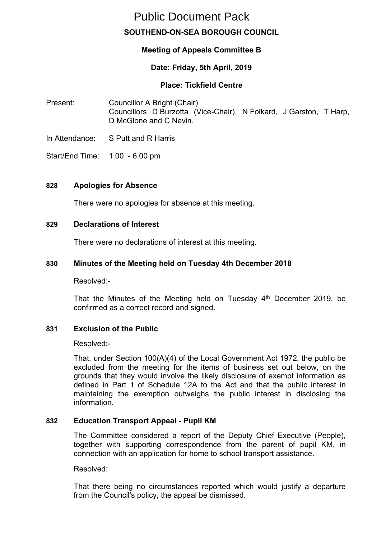# **SOUTHEND-ON-SEA BOROUGH COUNCIL** Public Document Pack

# **Meeting of Appeals Committee B**

# **Date: Friday, 5th April, 2019**

#### **Place: Tickfield Centre**

- Present: Councillor A Bright (Chair) Councillors D Burzotta (Vice-Chair), N Folkard, J Garston, T Harp, D McGlone and C Nevin.
- In Attendance: S Putt and R Harris
- Start/End Time: 1.00 6.00 pm

#### **828 Apologies for Absence**

There were no apologies for absence at this meeting.

#### **829 Declarations of Interest**

There were no declarations of interest at this meeting.

#### **830 Minutes of the Meeting held on Tuesday 4th December 2018**

Resolved:-

That the Minutes of the Meeting held on Tuesday 4<sup>th</sup> December 2019, be confirmed as a correct record and signed.

# **831 Exclusion of the Public**

Resolved:-

That, under Section 100(A)(4) of the Local Government Act 1972, the public be excluded from the meeting for the items of business set out below, on the grounds that they would involve the likely disclosure of exempt information as defined in Part 1 of Schedule 12A to the Act and that the public interest in maintaining the exemption outweighs the public interest in disclosing the information.

# **832 Education Transport Appeal - Pupil KM**

The Committee considered a report of the Deputy Chief Executive (People), together with supporting correspondence from the parent of pupil KM, in connection with an application for home to school transport assistance.

Resolved:

That there being no circumstances reported which would justify a departure from the Council's policy, the appeal be dismissed.